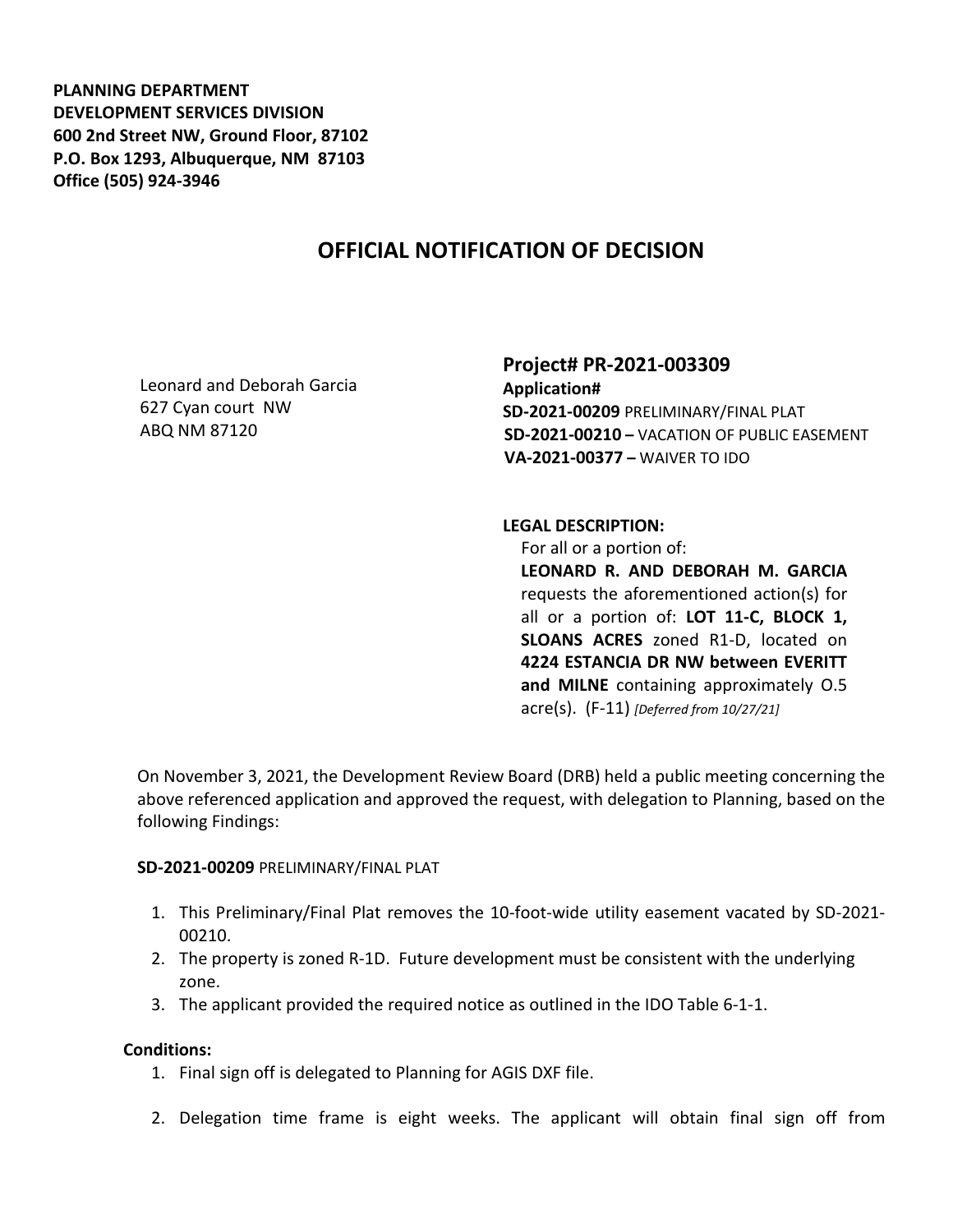**PLANNING DEPARTMENT DEVELOPMENT SERVICES DIVISION 600 2nd Street NW, Ground Floor, 87102 P.O. Box 1293, Albuquerque, NM 87103 Office (505) 924-3946** 

# **OFFICIAL NOTIFICATION OF DECISION**

Leonard and Deborah Garcia 627 Cyan court NW ABQ NM 87120

**Project# PR-2021-003309 Application# SD-2021-00209** PRELIMINARY/FINAL PLAT **SD-2021-00210 –** VACATION OF PUBLIC EASEMENT **VA-2021-00377 –** WAIVER TO IDO

### **LEGAL DESCRIPTION:**

 For all or a portion of: **LEONARD R. AND DEBORAH M. GARCIA**  requests the aforementioned action(s) for all or a portion of: **LOT 11-C, BLOCK 1, SLOANS ACRES** zoned R1-D, located on **4224 ESTANCIA DR NW between EVERITT and MILNE** containing approximately O.5 acre(s). (F-11) *[Deferred from 10/27/21]*

On November 3, 2021, the Development Review Board (DRB) held a public meeting concerning the above referenced application and approved the request, with delegation to Planning, based on the following Findings:

### **SD-2021-00209** PRELIMINARY/FINAL PLAT

- 1. This Preliminary/Final Plat removes the 10-foot-wide utility easement vacated by SD-2021- 00210.
- 2. The property is zoned R-1D. Future development must be consistent with the underlying zone.
- 3. The applicant provided the required notice as outlined in the IDO Table 6-1-1.

### **Conditions:**

- 1. Final sign off is delegated to Planning for AGIS DXF file.
- 2. Delegation time frame is eight weeks. The applicant will obtain final sign off from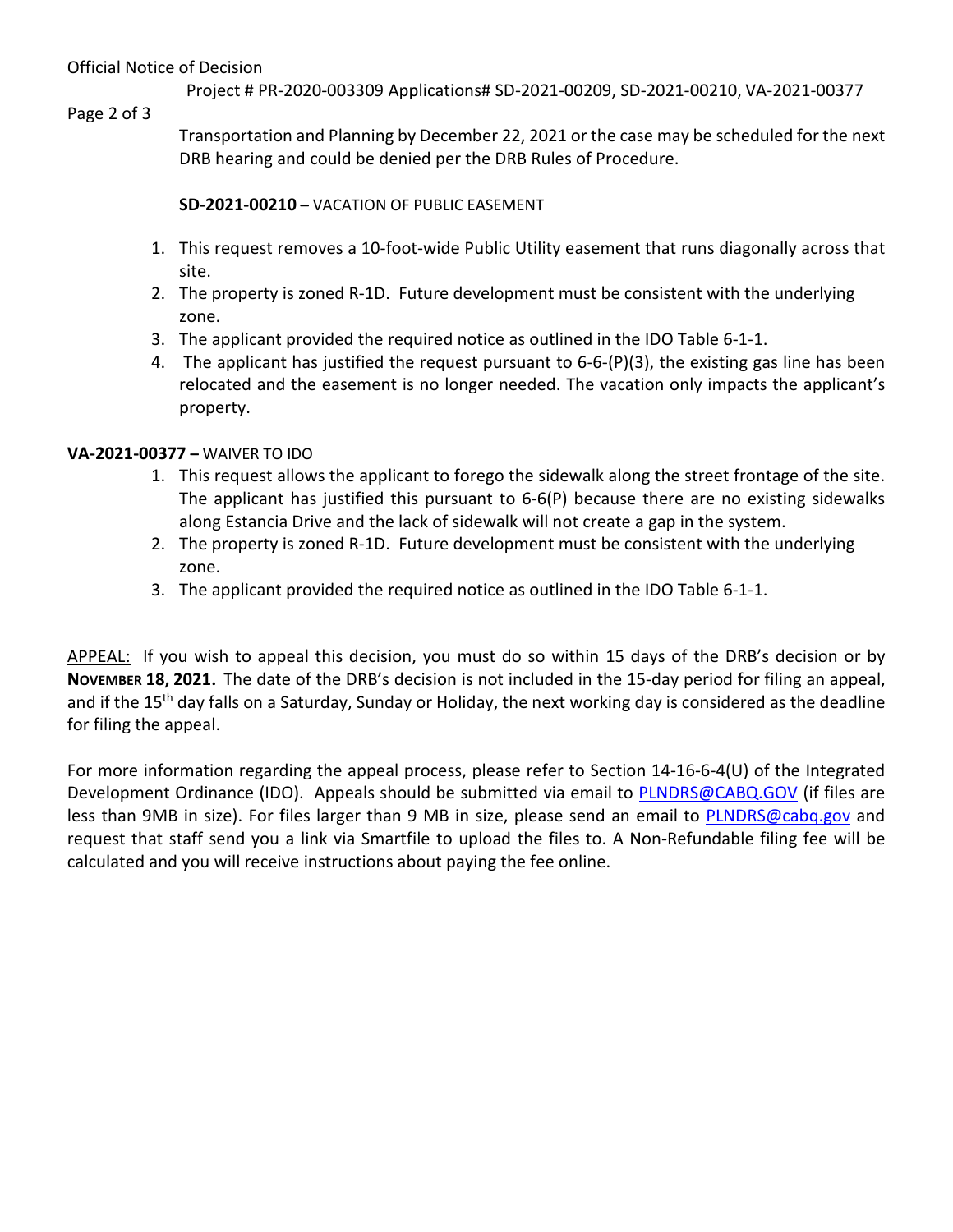# Official Notice of Decision

Project # PR-2020-003309 Applications# SD-2021-00209, SD-2021-00210, VA-2021-00377

## Page 2 of 3

Transportation and Planning by December 22, 2021 or the case may be scheduled for the next DRB hearing and could be denied per the DRB Rules of Procedure.

## **SD-2021-00210 –** VACATION OF PUBLIC EASEMENT

- 1. This request removes a 10-foot-wide Public Utility easement that runs diagonally across that site.
- 2. The property is zoned R-1D. Future development must be consistent with the underlying zone.
- 3. The applicant provided the required notice as outlined in the IDO Table 6-1-1.
- 4. The applicant has justified the request pursuant to  $6-6-(P)(3)$ , the existing gas line has been relocated and the easement is no longer needed. The vacation only impacts the applicant's property.

## **VA-2021-00377 –** WAIVER TO IDO

- 1. This request allows the applicant to forego the sidewalk along the street frontage of the site. The applicant has justified this pursuant to  $6-6(P)$  because there are no existing sidewalks along Estancia Drive and the lack of sidewalk will not create a gap in the system.
- 2. The property is zoned R-1D. Future development must be consistent with the underlying zone.
- 3. The applicant provided the required notice as outlined in the IDO Table 6-1-1.

APPEAL: If you wish to appeal this decision, you must do so within 15 days of the DRB's decision or by **NOVEMBER 18, 2021.** The date of the DRB's decision is not included in the 15-day period for filing an appeal, and if the 15<sup>th</sup> day falls on a Saturday, Sunday or Holiday, the next working day is considered as the deadline for filing the appeal.

For more information regarding the appeal process, please refer to Section 14-16-6-4(U) of the Integrated Development Ordinance (IDO). Appeals should be submitted via email to [PLNDRS@CABQ.GOV](mailto:PLNDRS@CABQ.GOV) (if files are less than 9MB in size). For files larger than 9 MB in size, please send an email to [PLNDRS@cabq.gov](mailto:PLNDRS@cabq.gov) and request that staff send you a link via Smartfile to upload the files to. A Non-Refundable filing fee will be calculated and you will receive instructions about paying the fee online.